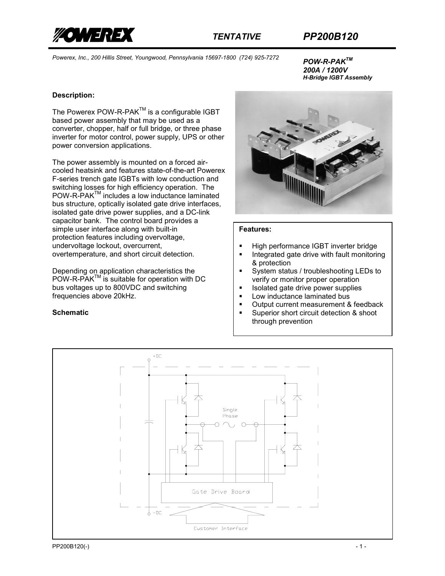

*200A / 1200V H-Bridge IGBT Assembly* 

# **Description:**

The Powerex POW-R-PAK<sup>™</sup> is a configurable IGBT based power assembly that may be used as a converter, chopper, half or full bridge, or three phase inverter for motor control, power supply, UPS or other power conversion applications.

The power assembly is mounted on a forced aircooled heatsink and features state-of-the-art Powerex F-series trench gate IGBTs with low conduction and switching losses for high efficiency operation. The POW-R-PAK<sup>™</sup> includes a low inductance laminated bus structure, optically isolated gate drive interfaces, isolated gate drive power supplies, and a DC-link capacitor bank. The control board provides a simple user interface along with built-in protection features including overvoltage, undervoltage lockout, overcurrent, overtemperature, and short circuit detection.

Depending on application characteristics the POW-R-PAK<sup>™</sup> is suitable for operation with DC bus voltages up to 800VDC and switching frequencies above 20kHz.

## **Schematic**



### **Features:**

- High performance IGBT inverter bridge
- **Integrated gate drive with fault monitoring** & protection
- System status / troubleshooting LEDs to verify or monitor proper operation
- Isolated gate drive power supplies
- **Low inductance laminated bus**
- **Dutput current measurement & feedback**
- Superior short circuit detection & shoot through prevention

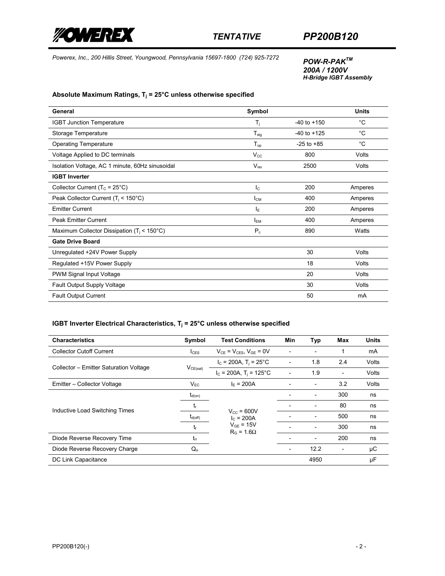

*200A / 1200V H-Bridge IGBT Assembly* 

### **Absolute Maximum Ratings, Tj = 25°C unless otherwise specified**

| General                                         | Symbol                      |                 | <b>Units</b> |
|-------------------------------------------------|-----------------------------|-----------------|--------------|
| <b>IGBT Junction Temperature</b>                | T <sub>j</sub>              | $-40$ to $+150$ | °C           |
| Storage Temperature                             | $T_{\text{stg}}$            | $-40$ to $+125$ | $^{\circ}$ C |
| <b>Operating Temperature</b>                    | ${\mathsf T}_{\mathsf{op}}$ | $-25$ to $+85$  | $^{\circ}$ C |
| Voltage Applied to DC terminals                 | $V_{\rm CC}$                | 800             | Volts        |
| Isolation Voltage, AC 1 minute, 60Hz sinusoidal | $V_{\rm iso}$               | 2500            | Volts        |
| <b>IGBT Inverter</b>                            |                             |                 |              |
| Collector Current ( $T_c$ = 25°C)               | $I_{\rm C}$                 | 200             | Amperes      |
| Peak Collector Current ( $T_i$ < 150°C)         | <b>I</b> <sub>CM</sub>      | 400             | Amperes      |
| <b>Emitter Current</b>                          | ΙE                          | 200             | Amperes      |
| <b>Peak Emitter Current</b>                     | <b>I<sub>EM</sub></b>       | 400             | Amperes      |
| Maximum Collector Dissipation ( $T_i$ < 150°C)  | $\mathsf{P}_{\text{c}}$     | 890             | Watts        |
| <b>Gate Drive Board</b>                         |                             |                 |              |
| Unregulated +24V Power Supply                   |                             | 30              | Volts        |
| Regulated +15V Power Supply                     |                             | 18              | Volts        |
| PWM Signal Input Voltage                        |                             | 20              | Volts        |
| Fault Output Supply Voltage                     |                             | 30              | Volts        |
| <b>Fault Output Current</b>                     |                             | 50              | mA           |

# **IGBT Inverter Electrical Characteristics, T<sub>j</sub> = 25°C unless otherwise specified**

| <b>Characteristics</b>                 | Symbol              | <b>Test Conditions</b>                                                        | <b>Min</b> | Typ  | <b>Max</b> | <b>Units</b> |
|----------------------------------------|---------------------|-------------------------------------------------------------------------------|------------|------|------------|--------------|
| <b>Collector Cutoff Current</b>        | $_{\rm LFS}$        | $V_{CE}$ = $V_{CES}$ , $V_{GE}$ = 0V                                          |            |      |            | mA           |
|                                        | $V_{CE(sat)}$       | $I_c = 200A$ , T <sub>i</sub> = 25°C                                          |            | 1.8  | 2.4        | Volts        |
| Collector – Emitter Saturation Voltage |                     | $I_c = 200A$ , T <sub>i</sub> = 125°C                                         |            | 1.9  |            | Volts        |
| Emitter - Collector Voltage            | $V_{FC}$            | $I_F = 200A$                                                                  |            |      | 3.2        | Volts        |
|                                        | $t_{d(on)}$         | $V_{\text{cc}}$ = 600V<br>$I_c = 200A$<br>$V_{GF}$ = 15V<br>$R_G = 1.6\Omega$ |            |      | 300        | ns           |
|                                        | t,                  |                                                                               |            |      | 80         | ns           |
| Inductive Load Switching Times         | $t_{d(\text{off})}$ |                                                                               |            |      | 500        | ns           |
|                                        | t                   |                                                                               |            |      | 300        | ns           |
| Diode Reverse Recovery Time            | $t_{rr}$            |                                                                               |            |      | 200        | ns           |
| Diode Reverse Recovery Charge          | $Q_{rr}$            |                                                                               |            | 12.2 |            | μC           |
| DC Link Capacitance                    |                     |                                                                               |            | 4950 |            | μF           |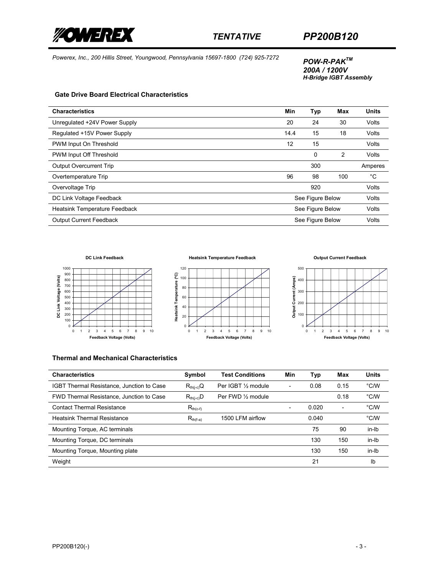

*200A / 1200V H-Bridge IGBT Assembly* 

#### **Gate Drive Board Electrical Characteristics**

| <b>Characteristics</b>         | Min              | Typ | <b>Max</b> | <b>Units</b> |
|--------------------------------|------------------|-----|------------|--------------|
| Unregulated +24V Power Supply  | 20               | 24  | 30         | Volts        |
| Regulated +15V Power Supply    | 14.4             | 15  | 18         | Volts        |
| PWM Input On Threshold         | 12               | 15  |            | Volts        |
| PWM Input Off Threshold        |                  | 0   | 2          | Volts        |
| <b>Output Overcurrent Trip</b> |                  | 300 |            | Amperes      |
| Overtemperature Trip           | 96               | 98  | 100        | °C           |
| Overvoltage Trip               |                  | 920 |            | Volts        |
| DC Link Voltage Feedback       | See Figure Below |     |            | Volts        |
| Heatsink Temperature Feedback  | See Figure Below |     |            | Volts        |
| <b>Output Current Feedback</b> | See Figure Below |     |            | Volts        |





**Heatsink Temperature Feedback**

**Output Current Feedback**



### **Thermal and Mechanical Characteristics**

| <b>Characteristics</b>                    | Symbol         | <b>Test Conditions</b> | Min | Typ   | Max                      | <b>Units</b>  |
|-------------------------------------------|----------------|------------------------|-----|-------|--------------------------|---------------|
| IGBT Thermal Resistance, Junction to Case | $R_{th(i-c)}Q$ | Per IGBT 1/2 module    | ۰   | 0.08  | 0.15                     | $\degree$ C/W |
| FWD Thermal Resistance, Junction to Case  | $R_{th(i-c)}D$ | Per FWD 1/2 module     |     |       | 0.18                     | $\degree$ C/W |
| <b>Contact Thermal Resistance</b>         | $R_{th(c-f)}$  |                        |     | 0.020 | $\overline{\phantom{0}}$ | $\degree$ C/W |
| <b>Heatsink Thermal Resistance</b>        | $R_{th(f-a)}$  | 1500 LFM airflow       |     | 0.040 |                          | $\degree$ C/W |
| Mounting Torque, AC terminals             |                |                        |     | 75    | 90                       | in-lb         |
| Mounting Torque, DC terminals             |                |                        |     | 130   | 150                      | in-Ib         |
| Mounting Torque, Mounting plate           |                |                        |     | 130   | 150                      | in-lb         |
| Weight                                    |                |                        |     | 21    |                          | Ib            |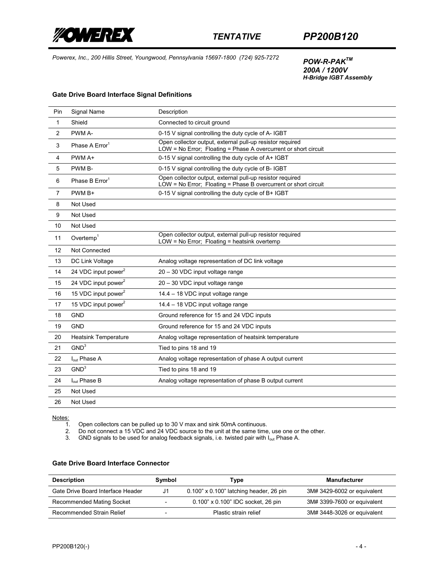

*200A / 1200V H-Bridge IGBT Assembly* 

### **Gate Drive Board Interface Signal Definitions**

| Pin            | Signal Name                     | Description                                                                                                                  |
|----------------|---------------------------------|------------------------------------------------------------------------------------------------------------------------------|
| $\mathbf{1}$   | Shield                          | Connected to circuit ground                                                                                                  |
| 2              | PWM A-                          | 0-15 V signal controlling the duty cycle of A- IGBT                                                                          |
| 3              | Phase A Error <sup>1</sup>      | Open collector output, external pull-up resistor required<br>LOW = No Error; Floating = Phase A overcurrent or short circuit |
| 4              | PWM A+                          | 0-15 V signal controlling the duty cycle of A+ IGBT                                                                          |
| 5              | PWM B-                          | 0-15 V signal controlling the duty cycle of B-IGBT                                                                           |
| 6              | Phase B Error <sup>1</sup>      | Open collector output, external pull-up resistor required<br>LOW = No Error; Floating = Phase B overcurrent or short circuit |
| $\overline{7}$ | PWM B+                          | 0-15 V signal controlling the duty cycle of B+ IGBT                                                                          |
| 8              | Not Used                        |                                                                                                                              |
| 9              | Not Used                        |                                                                                                                              |
| 10             | Not Used                        |                                                                                                                              |
| 11             | Overtemp <sup>1</sup>           | Open collector output, external pull-up resistor required<br>LOW = No Error; Floating = heatsink overtemp                    |
| 12             | Not Connected                   |                                                                                                                              |
| 13             | DC Link Voltage                 | Analog voltage representation of DC link voltage                                                                             |
| 14             | 24 VDC input power <sup>2</sup> | 20 - 30 VDC input voltage range                                                                                              |
| 15             | 24 VDC input power <sup>2</sup> | 20 - 30 VDC input voltage range                                                                                              |
| 16             | 15 VDC input power <sup>2</sup> | 14.4 - 18 VDC input voltage range                                                                                            |
| 17             | 15 VDC input power <sup>2</sup> | 14.4 - 18 VDC input voltage range                                                                                            |
| 18             | <b>GND</b>                      | Ground reference for 15 and 24 VDC inputs                                                                                    |
| 19             | <b>GND</b>                      | Ground reference for 15 and 24 VDC inputs                                                                                    |
| 20             | <b>Heatsink Temperature</b>     | Analog voltage representation of heatsink temperature                                                                        |
| 21             | GND <sup>3</sup>                | Tied to pins 18 and 19                                                                                                       |
| 22             | lout Phase A                    | Analog voltage representation of phase A output current                                                                      |
| 23             | GND <sup>3</sup>                | Tied to pins 18 and 19                                                                                                       |
| 24             | l <sub>out</sub> Phase B        | Analog voltage representation of phase B output current                                                                      |
| 25             | Not Used                        |                                                                                                                              |
| 26             | Not Used                        |                                                                                                                              |

 $Notes:  
1.$ </u>

1. Open collectors can be pulled up to 30 V max and sink 50mA continuous.

2. Do not connect a 15 VDC and 24 VDC source to the unit at the same time, use one or the other.

3. GND signals to be used for analog feedback signals, i.e. twisted pair with I<sub>out</sub> Phase A.

#### **Gate Drive Board Interface Connector**

| <b>Description</b>                | Symbol                   | Type                                          | Manufacturer                |
|-----------------------------------|--------------------------|-----------------------------------------------|-----------------------------|
| Gate Drive Board Interface Header | J1.                      | $0.100$ " x $0.100$ " latching header, 26 pin | 3M# 3429-6002 or equivalent |
| <b>Recommended Mating Socket</b>  | $\overline{\phantom{0}}$ | 0.100" x 0.100" IDC socket, 26 pin            | 3M# 3399-7600 or equivalent |
| Recommended Strain Relief         |                          | Plastic strain relief                         | 3M# 3448-3026 or equivalent |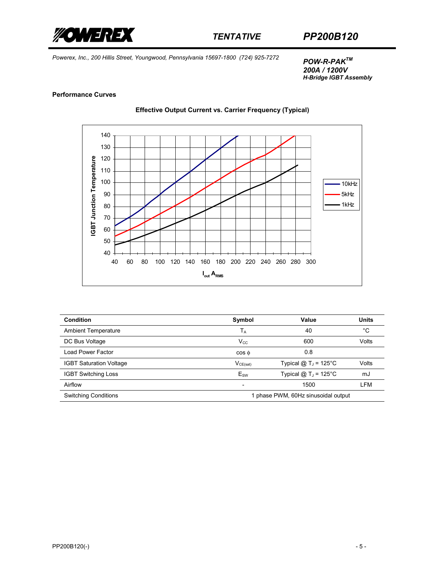

*200A / 1200V H-Bridge IGBT Assembly* 

#### **Performance Curves**

**Effective Output Current vs. Carrier Frequency (Typical)** 



| Condition                      | Symbol                              | Value                   | <b>Units</b> |  |
|--------------------------------|-------------------------------------|-------------------------|--------------|--|
| <b>Ambient Temperature</b>     | $T_A$                               | 40                      | °C           |  |
| DC Bus Voltage                 | $V_{CC}$                            | 600                     | Volts        |  |
| Load Power Factor              | $\cos \phi$                         | 0.8                     |              |  |
| <b>IGBT Saturation Voltage</b> | $V_{CE(sat)}$                       | Typical @ $TJ$ = 125°C  | Volts        |  |
| <b>IGBT Switching Loss</b>     | $E_{SW}$                            | Typical @ $T_J$ = 125°C | mJ           |  |
| Airflow                        | $\overline{\phantom{0}}$            | 1500                    | LFM          |  |
| <b>Switching Conditions</b>    | 1 phase PWM, 60Hz sinusoidal output |                         |              |  |